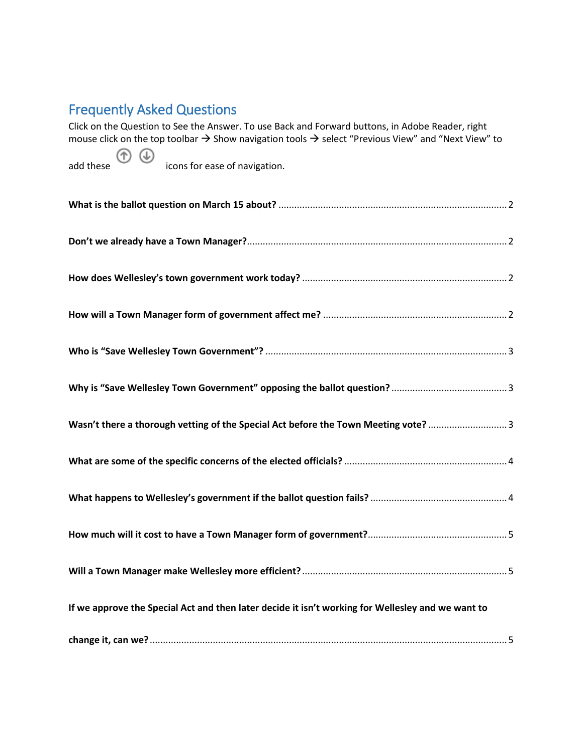# Frequently Asked Questions

Click on the Question to See the Answer. To use Back and Forward buttons, in Adobe Reader, right mouse click on the top toolbar  $\rightarrow$  Show navigation tools  $\rightarrow$  select "Previous View" and "Next View" to  $\circledf$ add these icons for ease of navigation. **What is the ballot question on March 15 about?** [.......................................................................................2](#page-1-0) **Don't we already have a Town Manager?**[...................................................................................................2](#page-1-1) **[How does Wellesley's town government work today?](#page-1-2)** ..............................................................................2 **[How will a Town Manager form of government affect me?](#page-1-3)** ......................................................................2 **Who is "Save Wellesley Town Government"?** [............................................................................................3](#page-2-0) **[Why is "Save Wellesley Town Government" opposing the ballot question?](#page-2-1)** ............................................3 **[Wasn't there a thorough vetting of the Special Act before the Town Meeting vote?](#page-2-2)** ..............................3 **[What are some of the specific concerns of the elected officials?](#page-3-0)** ..............................................................4 **[What happens to Wellesley's government if the ballot question fails?](#page-3-1)** ....................................................4 **[How much will it cost to have a Town Manager form of government?](#page-4-0)**.....................................................5 **[Will a Town Manager make Wellesley more efficient?](#page-4-1)**..............................................................................5 **[If we approve the Special Act and then later decide it isn't working for Wellesley and we want to](#page-4-2)  change it, can we?**[........................................................................................................................................5](#page-4-2)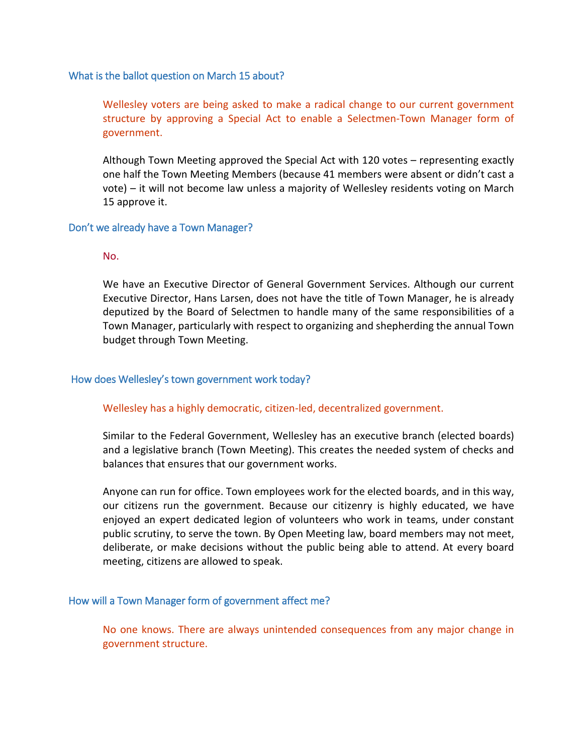#### <span id="page-1-0"></span>What is the ballot question on March 15 about?

Wellesley voters are being asked to make a radical change to our current government structure by approving a Special Act to enable a Selectmen-Town Manager form of government.

Although Town Meeting approved the Special Act with 120 votes – representing exactly one half the Town Meeting Members (because 41 members were absent or didn't cast a vote) – it will not become law unless a majority of Wellesley residents voting on March 15 approve it.

## <span id="page-1-1"></span>Don't we already have a Town Manager?

## No.

We have an Executive Director of General Government Services. Although our current Executive Director, Hans Larsen, does not have the title of Town Manager, he is already deputized by the Board of Selectmen to handle many of the same responsibilities of a Town Manager, particularly with respect to organizing and shepherding the annual Town budget through Town Meeting.

## <span id="page-1-2"></span>How does Wellesley's town government work today?

#### Wellesley has a highly democratic, citizen-led, decentralized government.

Similar to the Federal Government, Wellesley has an executive branch (elected boards) and a legislative branch (Town Meeting). This creates the needed system of checks and balances that ensures that our government works.

Anyone can run for office. Town employees work for the elected boards, and in this way, our citizens run the government. Because our citizenry is highly educated, we have enjoyed an expert dedicated legion of volunteers who work in teams, under constant public scrutiny, to serve the town. By Open Meeting law, board members may not meet, deliberate, or make decisions without the public being able to attend. At every board meeting, citizens are allowed to speak.

#### <span id="page-1-3"></span>How will a Town Manager form of government affect me?

No one knows. There are always unintended consequences from any major change in government structure.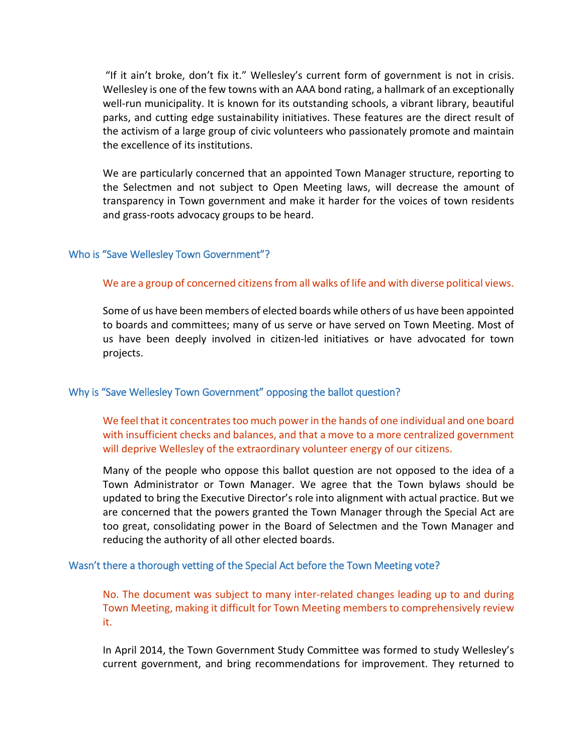"If it ain't broke, don't fix it." Wellesley's current form of government is not in crisis. Wellesley is one of the few towns with an AAA bond rating, a hallmark of an exceptionally well-run municipality. It is known for its outstanding schools, a vibrant library, beautiful parks, and cutting edge sustainability initiatives. These features are the direct result of the activism of a large group of civic volunteers who passionately promote and maintain the excellence of its institutions.

We are particularly concerned that an appointed Town Manager structure, reporting to the Selectmen and not subject to Open Meeting laws, will decrease the amount of transparency in Town government and make it harder for the voices of town residents and grass-roots advocacy groups to be heard.

## <span id="page-2-0"></span>Who is "Save Wellesley Town Government"?

## We are a group of concerned citizens from all walks of life and with diverse political views.

Some of us have been members of elected boards while others of us have been appointed to boards and committees; many of us serve or have served on Town Meeting. Most of us have been deeply involved in citizen-led initiatives or have advocated for town projects.

#### <span id="page-2-1"></span>Why is "Save Wellesley Town Government" opposing the ballot question?

We feel that it concentrates too much power in the hands of one individual and one board with insufficient checks and balances, and that a move to a more centralized government will deprive Wellesley of the extraordinary volunteer energy of our citizens.

Many of the people who oppose this ballot question are not opposed to the idea of a Town Administrator or Town Manager. We agree that the Town bylaws should be updated to bring the Executive Director's role into alignment with actual practice. But we are concerned that the powers granted the Town Manager through the Special Act are too great, consolidating power in the Board of Selectmen and the Town Manager and reducing the authority of all other elected boards.

#### <span id="page-2-2"></span>Wasn't there a thorough vetting of the Special Act before the Town Meeting vote?

No. The document was subject to many inter-related changes leading up to and during Town Meeting, making it difficult for Town Meeting members to comprehensively review it.

In April 2014, the Town Government Study Committee was formed to study Wellesley's current government, and bring recommendations for improvement. They returned to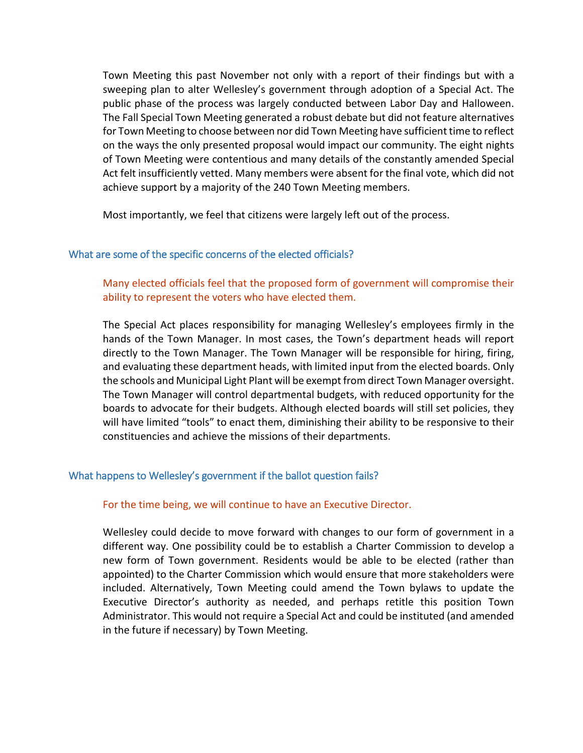Town Meeting this past November not only with a report of their findings but with a sweeping plan to alter Wellesley's government through adoption of a Special Act. The public phase of the process was largely conducted between Labor Day and Halloween. The Fall Special Town Meeting generated a robust debate but did not feature alternatives for Town Meeting to choose between nor did Town Meeting have sufficient time to reflect on the ways the only presented proposal would impact our community. The eight nights of Town Meeting were contentious and many details of the constantly amended Special Act felt insufficiently vetted. Many members were absent for the final vote, which did not achieve support by a majority of the 240 Town Meeting members.

Most importantly, we feel that citizens were largely left out of the process.

## <span id="page-3-0"></span>What are some of the specific concerns of the elected officials?

# Many elected officials feel that the proposed form of government will compromise their ability to represent the voters who have elected them.

The Special Act places responsibility for managing Wellesley's employees firmly in the hands of the Town Manager. In most cases, the Town's department heads will report directly to the Town Manager. The Town Manager will be responsible for hiring, firing, and evaluating these department heads, with limited input from the elected boards. Only the schools and Municipal Light Plant will be exempt from direct Town Manager oversight. The Town Manager will control departmental budgets, with reduced opportunity for the boards to advocate for their budgets. Although elected boards will still set policies, they will have limited "tools" to enact them, diminishing their ability to be responsive to their constituencies and achieve the missions of their departments.

## <span id="page-3-1"></span>What happens to Wellesley's government if the ballot question fails?

## For the time being, we will continue to have an Executive Director.

Wellesley could decide to move forward with changes to our form of government in a different way. One possibility could be to establish a Charter Commission to develop a new form of Town government. Residents would be able to be elected (rather than appointed) to the Charter Commission which would ensure that more stakeholders were included. Alternatively, Town Meeting could amend the Town bylaws to update the Executive Director's authority as needed, and perhaps retitle this position Town Administrator. This would not require a Special Act and could be instituted (and amended in the future if necessary) by Town Meeting.